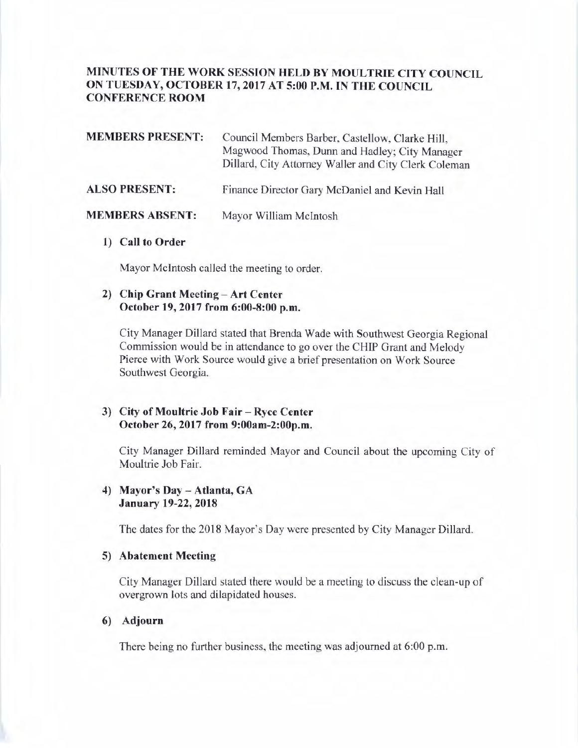# **MINUTES OF THE WORK SESSION HELD BY MOULTRIE CITY COUNCIL ON TUESDAY, OCTOBER 17, 2017 AT 5:00 P.M. IN THE COUNCIL CONFERENCE ROOM**

| <b>MEMBERS PRESENT:</b> | Council Members Barber, Castellow, Clarke Hill,<br>Magwood Thomas, Dunn and Hadley; City Manager<br>Dillard, City Attorney Waller and City Clerk Coleman |
|-------------------------|----------------------------------------------------------------------------------------------------------------------------------------------------------|
| <b>ALSO PRESENT:</b>    | Finance Director Gary McDaniel and Kevin Hall                                                                                                            |
| <b>MEMBERS ABSENT:</b>  | Mayor William McIntosh                                                                                                                                   |

#### **1) Call to Order**

Mayor McIntosh called the meeting to order.

## 2) Chip Grant Meeting - Art Center **October 19, 2017 from 6:00-8:00 p.m.**

City Manager Dillard stated that Brenda Wade with Southwest Georgia Regional Commission would be in attendance to go over the CHIP Grant and Melody Pierce with Work Source would give a brief presentation on Work Source Southwest Georgia.

### **3) City of Moultrie Job Fair – Ryce Center October 26, 2017 from 9:00am-2:00p.m.**

City Manager Dillard reminded Mayor and Council about the upcoming City of Moultrie Job Fair.

### **4) Mayor's Day** - **Atlanta, GA January 19-22, 2018**

The dates for the 2018 Mayor's Day were presented by City Manager Dillard.

#### **5) Abatement Meeting**

City Manager Dillard stated there would be a meeting to discuss the clean-up of overgrown lots and dilapidated houses.

### **6) Adjourn**

There being no further business, the meeting was adjourned at 6:00 p.m.